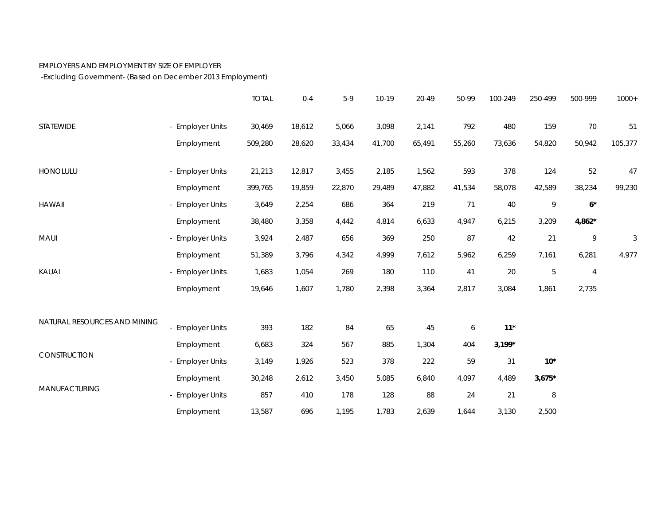## EMPLOYERS AND EMPLOYMENT BY SIZE OF EMPLOYER

-Excluding Government- (Based on December 2013 Employment)

|                              |                  | <b>TOTAL</b> | $0 - 4$ | $5-9$  | 10-19  | 20-49  | 50-99            | 100-249  | 250-499    | 500-999  | $1000+$                   |
|------------------------------|------------------|--------------|---------|--------|--------|--------|------------------|----------|------------|----------|---------------------------|
| <b>STATEWIDE</b>             | - Employer Units | 30,469       | 18,612  | 5,066  | 3,098  | 2,141  | 792              | 480      | 159        | 70       | 51                        |
|                              | Employment       | 509,280      | 28,620  | 33,434 | 41,700 | 65,491 | 55,260           | 73,636   | 54,820     | 50,942   | 105,377                   |
| HONOLULU                     | - Employer Units | 21,213       | 12,817  | 3,455  | 2,185  | 1,562  | 593              | 378      | 124        | 52       | $47\,$                    |
|                              | Employment       | 399,765      | 19,859  | 22,870 | 29,489 | 47,882 | 41,534           | 58,078   | 42,589     | 38,234   | 99,230                    |
| <b>HAWAII</b>                | - Employer Units | 3,649        | 2,254   | 686    | 364    | 219    | 71               | 40       | 9          | $6*$     |                           |
|                              | Employment       | 38,480       | 3,358   | 4,442  | 4,814  | 6,633  | 4,947            | 6,215    | 3,209      | $4,862*$ |                           |
| MAUI                         | - Employer Units | 3,924        | 2,487   | 656    | 369    | 250    | 87               | 42       | 21         | 9        | $\ensuremath{\mathsf{3}}$ |
|                              | Employment       | 51,389       | 3,796   | 4,342  | 4,999  | 7,612  | 5,962            | 6,259    | 7,161      | 6,281    | 4,977                     |
| KAUAI                        | - Employer Units | 1,683        | 1,054   | 269    | 180    | 110    | 41               | 20       | $\sqrt{5}$ | 4        |                           |
|                              | Employment       | 19,646       | 1,607   | 1,780  | 2,398  | 3,364  | 2,817            | 3,084    | 1,861      | 2,735    |                           |
| NATURAL RESOURCES AND MINING |                  |              |         |        |        |        |                  |          |            |          |                           |
|                              | - Employer Units | 393          | 182     | 84     | 65     | 45     | $\boldsymbol{6}$ | $11*$    |            |          |                           |
| CONSTRUCTION                 | Employment       | 6,683        | 324     | 567    | 885    | 1,304  | 404              | $3,199*$ |            |          |                           |
|                              | - Employer Units | 3,149        | 1,926   | 523    | 378    | 222    | 59               | 31       | $10*$      |          |                           |
| MANUFACTURING                | Employment       | 30,248       | 2,612   | 3,450  | 5,085  | 6,840  | 4,097            | 4,489    | $3,675*$   |          |                           |
|                              | - Employer Units | 857          | 410     | 178    | 128    | 88     | 24               | 21       | $\, 8$     |          |                           |
|                              | Employment       | 13,587       | 696     | 1,195  | 1,783  | 2,639  | 1,644            | 3,130    | 2,500      |          |                           |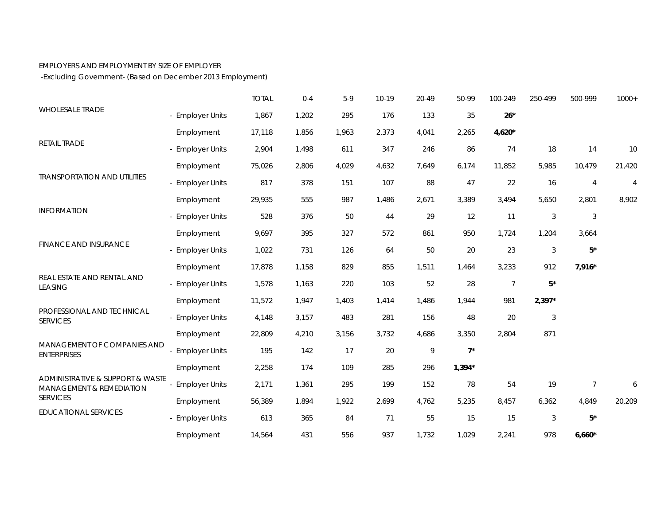## EMPLOYERS AND EMPLOYMENT BY SIZE OF EMPLOYER

-Excluding Government- (Based on December 2013 Employment)

| <b>WHOLESALE TRADE</b>                                                                             |                       | <b>TOTAL</b> | $0 - 4$ | $5-9$ | 10-19 | 20-49 | 50-99    | 100-249        | 250-499        | 500-999        | $1000+$        |
|----------------------------------------------------------------------------------------------------|-----------------------|--------------|---------|-------|-------|-------|----------|----------------|----------------|----------------|----------------|
|                                                                                                    | - Employer Units      | 1,867        | 1,202   | 295   | 176   | 133   | 35       | $26*$          |                |                |                |
| <b>RETAIL TRADE</b>                                                                                | Employment            | 17,118       | 1,856   | 1,963 | 2,373 | 4,041 | 2,265    | 4,620*         |                |                |                |
|                                                                                                    | - Employer Units      | 2,904        | 1,498   | 611   | 347   | 246   | 86       | 74             | 18             | 14             | 10             |
|                                                                                                    | Employment            | 75,026       | 2,806   | 4,029 | 4,632 | 7,649 | 6,174    | 11,852         | 5,985          | 10,479         | 21,420         |
| <b>TRANSPORTATION AND UTILITIES</b>                                                                | - Employer Units      | 817          | 378     | 151   | 107   | 88    | 47       | 22             | 16             | $\overline{4}$ | $\overline{4}$ |
|                                                                                                    | Employment            | 29,935       | 555     | 987   | 1,486 | 2,671 | 3,389    | 3,494          | 5,650          | 2,801          | 8,902          |
| <b>INFORMATION</b>                                                                                 | - Employer Units      | 528          | 376     | 50    | 44    | 29    | 12       | 11             | $\mathfrak{Z}$ | $\mathfrak{Z}$ |                |
| <b>FINANCE AND INSURANCE</b>                                                                       | Employment            | 9,697        | 395     | 327   | 572   | 861   | 950      | 1,724          | 1,204          | 3,664          |                |
|                                                                                                    | - Employer Units      | 1,022        | 731     | 126   | 64    | 50    | $20\,$   | 23             | $\sqrt{3}$     | $5^\star$      |                |
| REAL ESTATE AND RENTAL AND<br><b>LEASING</b>                                                       | Employment            | 17,878       | 1,158   | 829   | 855   | 1,511 | 1,464    | 3,233          | 912            | $7,916*$       |                |
|                                                                                                    | - Employer Units      | 1,578        | 1,163   | 220   | 103   | 52    | 28       | $\overline{7}$ | $5^\star$      |                |                |
|                                                                                                    | Employment            | 11,572       | 1,947   | 1,403 | 1,414 | 1,486 | 1,944    | 981            | $2,397*$       |                |                |
| PROFESSIONAL AND TECHNICAL<br><b>SERVICES</b><br>MANAGEMENT OF COMPANIES AND<br><b>ENTERPRISES</b> | - Employer Units      | 4,148        | 3,157   | 483   | 281   | 156   | 48       | 20             | 3              |                |                |
|                                                                                                    | Employment            | 22,809       | 4,210   | 3,156 | 3,732 | 4,686 | 3,350    | 2,804          | 871            |                |                |
|                                                                                                    | <b>Employer Units</b> | 195          | 142     | 17    | 20    | 9     | $7^*$    |                |                |                |                |
|                                                                                                    | Employment            | 2,258        | 174     | 109   | 285   | 296   | $1,394*$ |                |                |                |                |
| ADMINISTRATIVE & SUPPORT & WASTE<br><b>MANAGEMENT &amp; REMEDIATION</b><br><b>SERVICES</b>         | <b>Employer Units</b> | 2,171        | 1,361   | 295   | 199   | 152   | 78       | 54             | 19             | $\overline{7}$ | 6              |
|                                                                                                    | Employment            | 56,389       | 1,894   | 1,922 | 2,699 | 4,762 | 5,235    | 8,457          | 6,362          | 4,849          | 20,209         |
| <b>EDUCATIONAL SERVICES</b>                                                                        | - Employer Units      | 613          | 365     | 84    | 71    | 55    | 15       | 15             | $\sqrt{3}$     | $5*$           |                |
|                                                                                                    | Employment            | 14,564       | 431     | 556   | 937   | 1,732 | 1,029    | 2,241          | 978            | $6,660*$       |                |